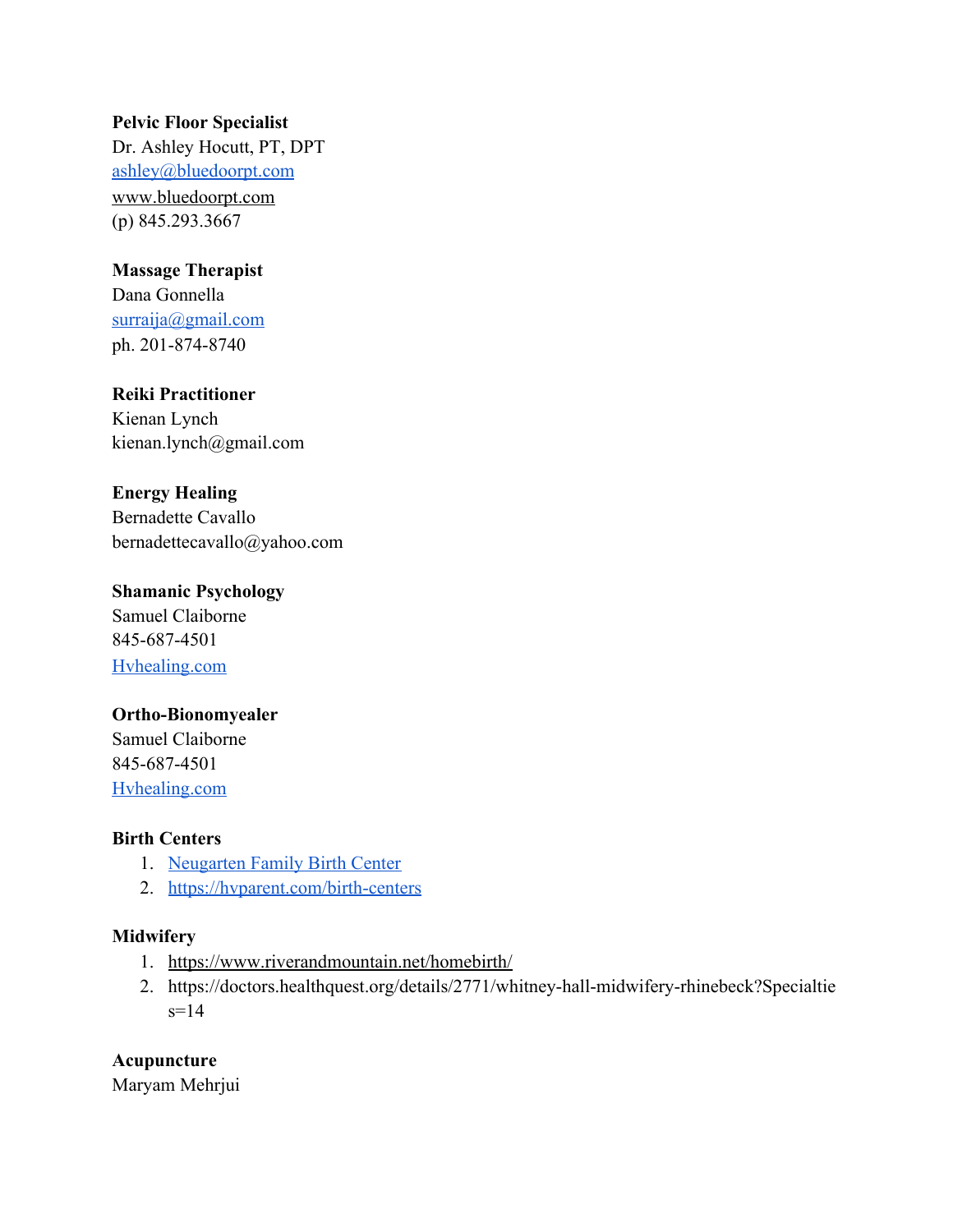## **Pelvic Floor Specialist**

Dr. Ashley Hocutt, PT, DPT [ashley@bluedoorpt.com](mailto:ashley@bluedoorpt.com) [www.bluedoorpt.com](http://www.bluedoorpt.com/) (p) 845.293.3667

## **Massage Therapist**

Dana Gonnella [surraija@gmail.com](mailto:surraija@gmail.com) ph. 201-874-8740

## **Reiki Practitioner**

Kienan Lynch kienan.lynch@gmail.com

## **Energy Healing**

Bernadette Cavallo bernadettecavallo@yahoo.com

## **Shamanic Psychology**

Samuel Claiborne 845-687-4501 [Hvhealing.com](http://hvhealing.com/)

## **Ortho-Bionomyealer**

Samuel Claiborne 845-687-4501 [Hvhealing.com](http://hvhealing.com/)

## **Birth Centers**

- 1. [Neugarten Family Birth Center](https://patients.healthquest.org/locations/ndh-neugarten-family-birth-center/)
- 2. <https://hvparent.com/birth-centers>

## **Midwifery**

- 1. <https://www.riverandmountain.net/homebirth/>
- 2. https://doctors.healthquest.org/details/2771/whitney-hall-midwifery-rhinebeck?Specialtie  $s=14$

## **Acupuncture**

Maryam Mehrjui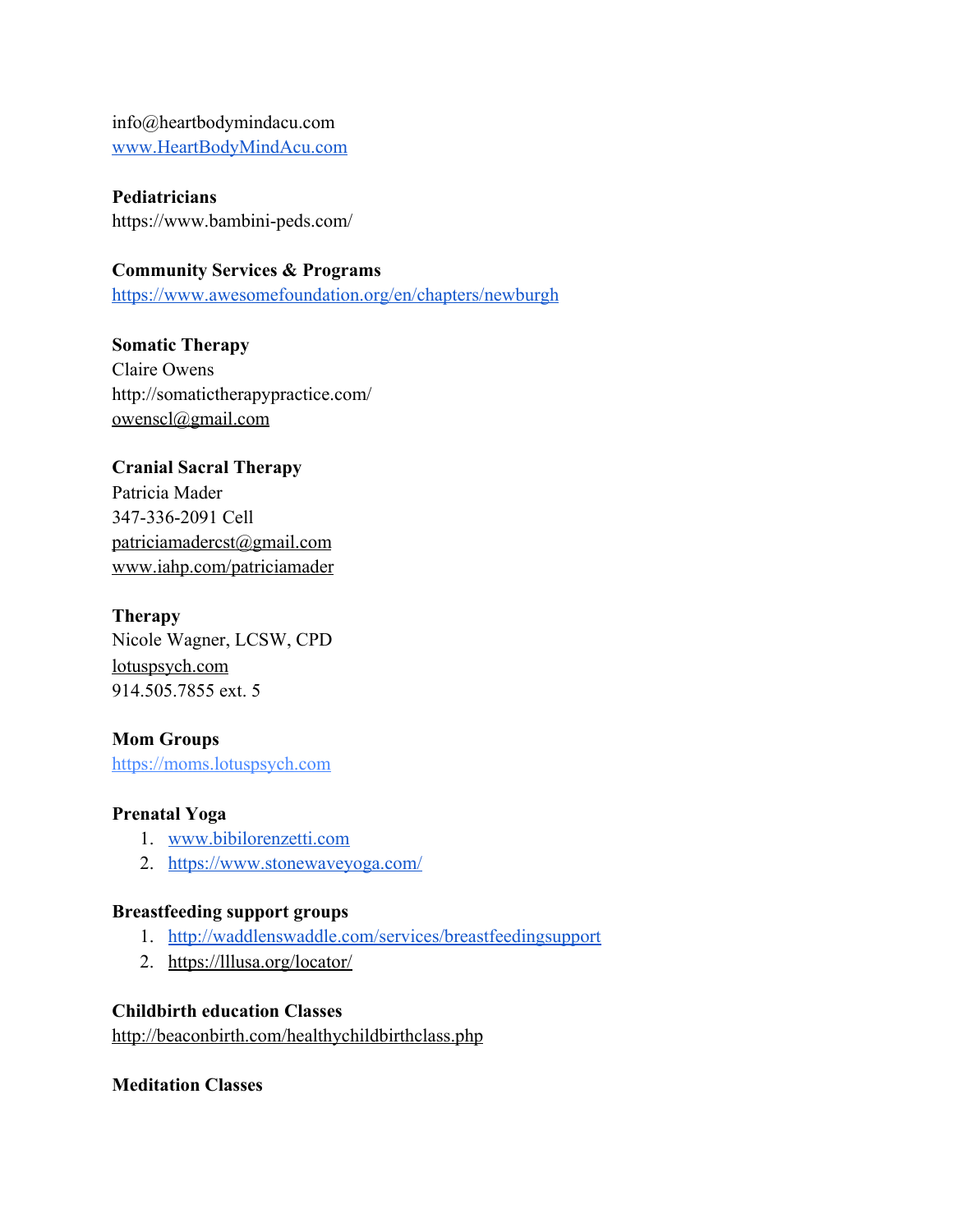info@heartbodymindacu.com [www.HeartBodyMindAcu.com](http://www.heartbodymindacu.com/)

**Pediatricians** https://www.bambini-peds.com/

**Community Services & Programs** <https://www.awesomefoundation.org/en/chapters/newburgh>

**Somatic Therapy** Claire Owens http://somatictherapypractice.com/ [owenscl@gmail.com](mailto:owenscl@gmail.com)

## **Cranial Sacral Therapy**

Patricia Mader 347-336-2091 Cell patriciamadercst@gmail.com [www.iahp.com/patriciamader](http://www.iahp.com/patriciamader)

### **Therapy**

Nicole Wagner, LCSW, CPD [lotuspsych.com](http://lotuspsych.com/) 914.505.7855 ext. 5

## **Mom Groups**

https://moms.lotuspsych.com

## **Prenatal Yoga**

- 1. [www.bibilorenzetti.com](http://www.bibilorenzetti.com/)
- 2. <https://www.stonewaveyoga.com/>

## **Breastfeeding support groups**

- 1. <http://waddlenswaddle.com/services/breastfeedingsupport>
- 2. <https://lllusa.org/locator/>

## **Childbirth education Classes**

<http://beaconbirth.com/healthychildbirthclass.php>

#### **Meditation Classes**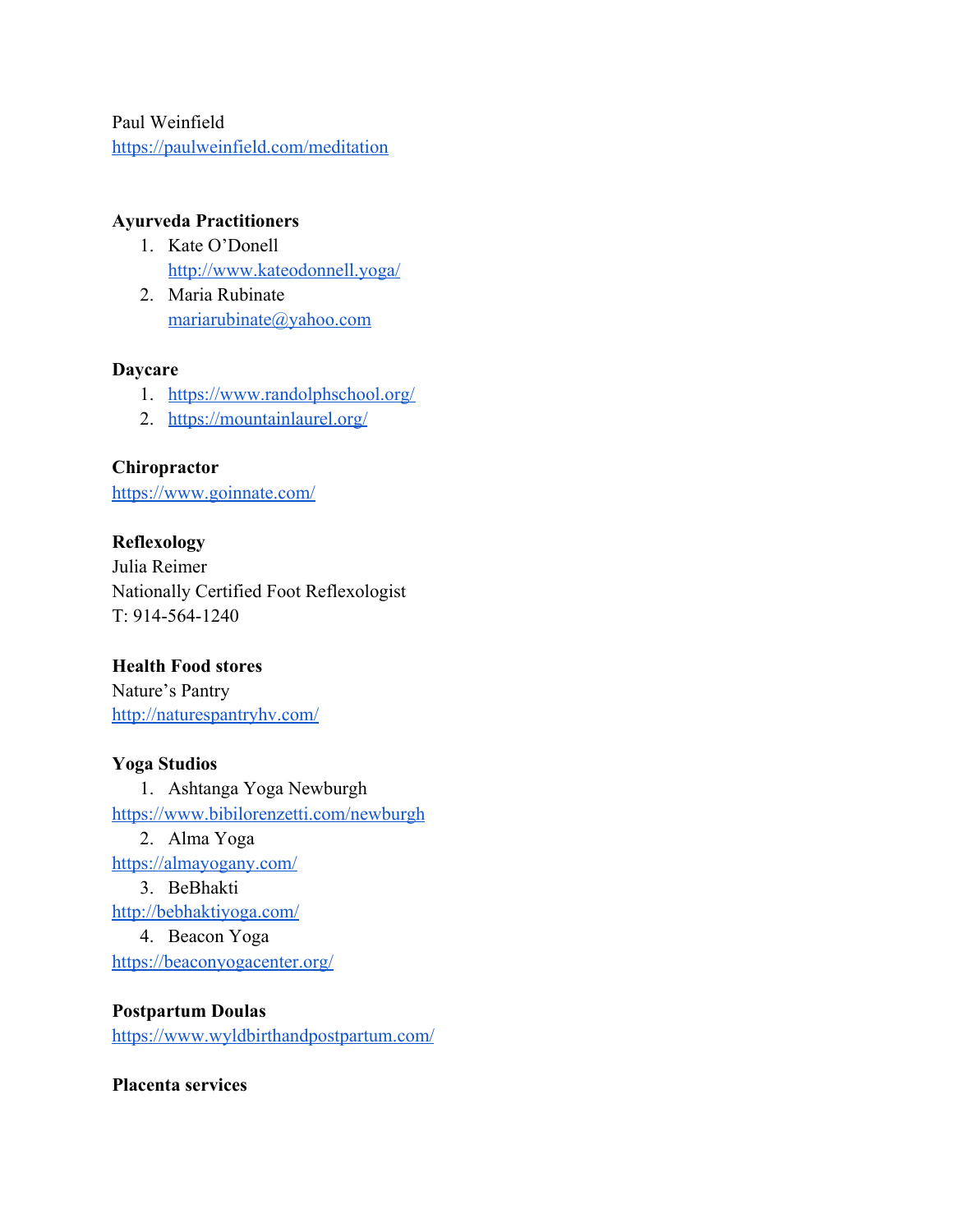Paul Weinfield <https://paulweinfield.com/meditation>

### **Ayurveda Practitioners**

- 1. Kate O'Donell <http://www.kateodonnell.yoga/>
- 2. Maria Rubinate [mariarubinate@yahoo.com](mailto:mariarubinate@yahoo.com)

#### **Daycare**

- 1. <https://www.randolphschool.org/>
- 2. <https://mountainlaurel.org/>

## **Chiropractor**

<https://www.goinnate.com/>

## **Reflexology**

Julia Reimer Nationally Certified Foot Reflexologist T: 914-564-1240

## **Health Food stores**

Nature's Pantry <http://naturespantryhv.com/>

## **Yoga Studios**

1. Ashtanga Yoga Newburgh <https://www.bibilorenzetti.com/newburgh> 2. Alma Yoga <https://almayogany.com/> 3. BeBhakti <http://bebhaktiyoga.com/> 4. Beacon Yoga <https://beaconyogacenter.org/>

# **Postpartum Doulas** <https://www.wyldbirthandpostpartum.com/>

**Placenta services**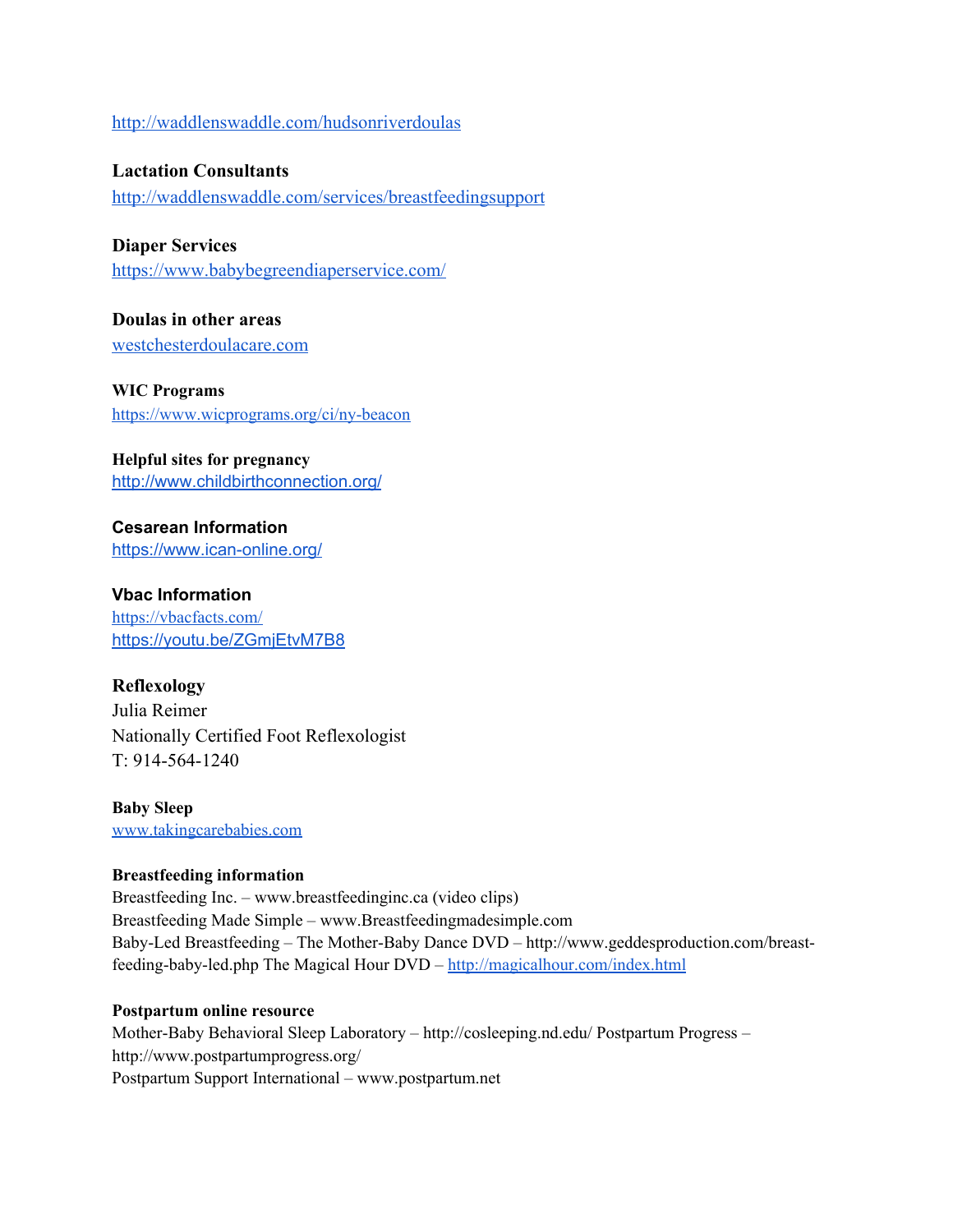#### <http://waddlenswaddle.com/hudsonriverdoulas>

**Lactation Consultants** <http://waddlenswaddle.com/services/breastfeedingsupport>

### **Diaper Services**

<https://www.babybegreendiaperservice.com/>

## **Doulas in other areas** [westchesterdoulacare.com](http://westchesterdoulacare.com/)

**WIC Programs** <https://www.wicprograms.org/ci/ny-beacon>

#### **Helpful sites for pregnancy** <http://www.childbirthconnection.org/>

**Cesarean Information** <https://www.ican-online.org/>

## **Vbac Information** <https://vbacfacts.com/> <https://youtu.be/ZGmjEtvM7B8>

**Reflexology** Julia Reimer Nationally Certified Foot Reflexologist T: 914-564-1240

**Baby Sleep** [www.takingcarebabies.com](http://www.takingcarebabies.com/)

#### **Breastfeeding information**

Breastfeeding Inc. – www.breastfeedinginc.ca (video clips) Breastfeeding Made Simple – www.Breastfeedingmadesimple.com Baby-Led Breastfeeding – The Mother-Baby Dance DVD – http://www.geddesproduction.com/breastfeeding-baby-led.php The Magical Hour DVD – <http://magicalhour.com/index.html>

#### **Postpartum online resource**

Mother-Baby Behavioral Sleep Laboratory – http://cosleeping.nd.edu/ Postpartum Progress – http://www.postpartumprogress.org/ Postpartum Support International – www.postpartum.net